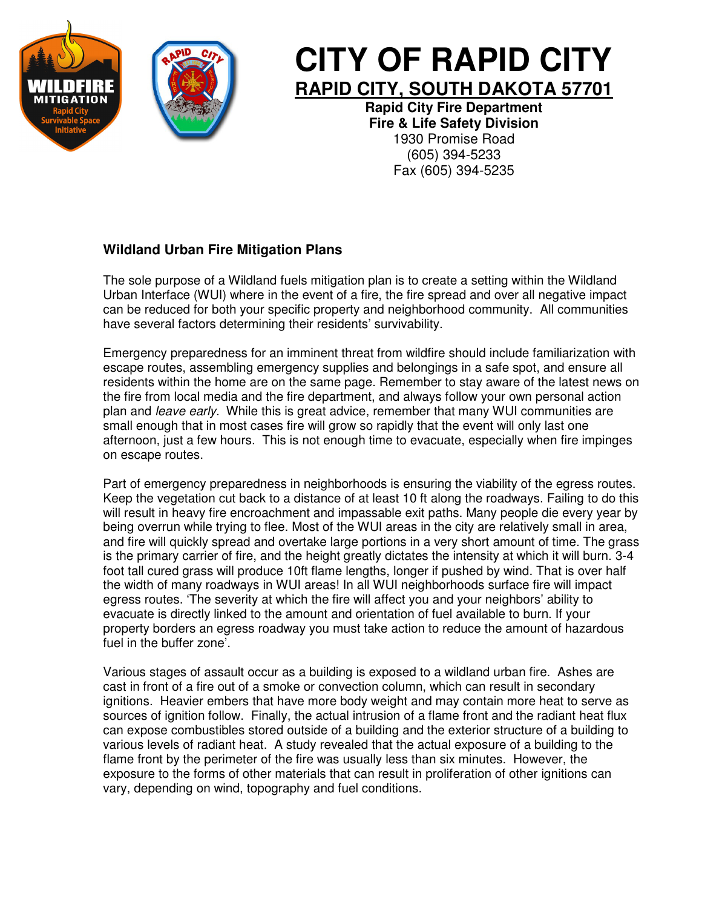



## **CITY OF RAPID CITY RAPID CITY, SOUTH DAKOTA 57701**

**Rapid City Fire Department Fire & Life Safety Division**  1930 Promise Road (605) 394-5233 Fax (605) 394-5235

## **Wildland Urban Fire Mitigation Plans**

The sole purpose of a Wildland fuels mitigation plan is to create a setting within the Wildland Urban Interface (WUI) where in the event of a fire, the fire spread and over all negative impact can be reduced for both your specific property and neighborhood community. All communities have several factors determining their residents' survivability.

Emergency preparedness for an imminent threat from wildfire should include familiarization with escape routes, assembling emergency supplies and belongings in a safe spot, and ensure all residents within the home are on the same page. Remember to stay aware of the latest news on the fire from local media and the fire department, and always follow your own personal action plan and *leave early*. While this is great advice, remember that many WUI communities are small enough that in most cases fire will grow so rapidly that the event will only last one afternoon, just a few hours. This is not enough time to evacuate, especially when fire impinges on escape routes.

Part of emergency preparedness in neighborhoods is ensuring the viability of the egress routes. Keep the vegetation cut back to a distance of at least 10 ft along the roadways. Failing to do this will result in heavy fire encroachment and impassable exit paths. Many people die every year by being overrun while trying to flee. Most of the WUI areas in the city are relatively small in area, and fire will quickly spread and overtake large portions in a very short amount of time. The grass is the primary carrier of fire, and the height greatly dictates the intensity at which it will burn. 3-4 foot tall cured grass will produce 10ft flame lengths, longer if pushed by wind. That is over half the width of many roadways in WUI areas! In all WUI neighborhoods surface fire will impact egress routes. 'The severity at which the fire will affect you and your neighbors' ability to evacuate is directly linked to the amount and orientation of fuel available to burn. If your property borders an egress roadway you must take action to reduce the amount of hazardous fuel in the buffer zone'.

Various stages of assault occur as a building is exposed to a wildland urban fire. Ashes are cast in front of a fire out of a smoke or convection column, which can result in secondary ignitions. Heavier embers that have more body weight and may contain more heat to serve as sources of ignition follow. Finally, the actual intrusion of a flame front and the radiant heat flux can expose combustibles stored outside of a building and the exterior structure of a building to various levels of radiant heat. A study revealed that the actual exposure of a building to the flame front by the perimeter of the fire was usually less than six minutes. However, the exposure to the forms of other materials that can result in proliferation of other ignitions can vary, depending on wind, topography and fuel conditions.